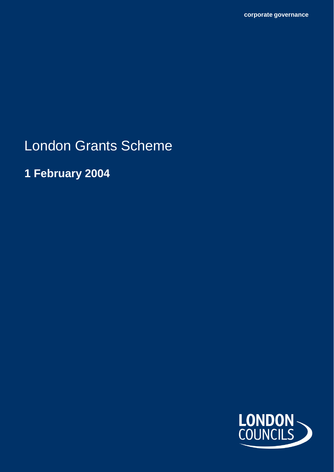London Grants Scheme

**1 February 2004**

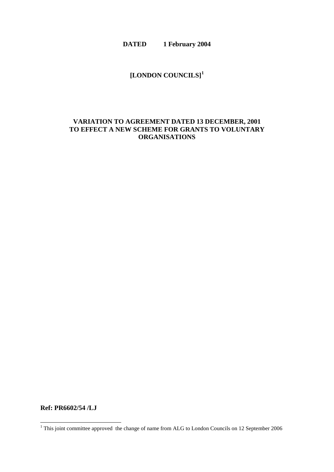**DATED 1 February 2004**

## **[LONDON COUNCILS] [1](#page-1-0)**

### **VARIATION TO AGREEMENT DATED 13 DECEMBER, 2001 TO EFFECT A NEW SCHEME FOR GRANTS TO VOLUNTARY ORGANISATIONS**

**Ref: PR6602/54 /LJ**

-

<span id="page-1-0"></span> $1$  This joint committee approved the change of name from ALG to London Councils on 12 September 2006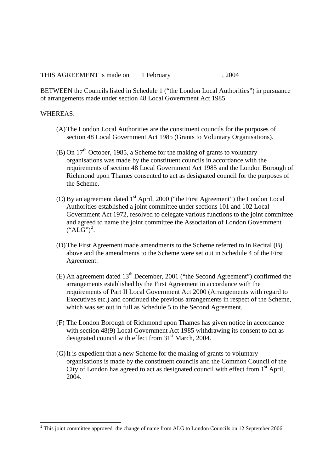THIS AGREEMENT is made on 1 February 1.2004

BETWEEN the Councils listed in Schedule 1 ("the London Local Authorities") in pursuance of arrangements made under section 48 Local Government Act 1985

#### WHEREAS:

-

- (A)The London Local Authorities are the constituent councils for the purposes of section 48 Local Government Act 1985 (Grants to Voluntary Organisations).
- (B) On  $17<sup>th</sup>$  October, 1985, a Scheme for the making of grants to voluntary organisations was made by the constituent councils in accordance with the requirements of section 48 Local Government Act 1985 and the London Borough of Richmond upon Thames consented to act as designated council for the purposes of the Scheme.
- (C) By an agreement dated  $1<sup>st</sup>$  April, 2000 ("the First Agreement") the London Local Authorities established a joint committee under sections 101 and 102 Local Government Act 1972, resolved to delegate various functions to the joint committee and agreed to name the joint committee the Association of London Government  $(*ALG")^2$  $(*ALG")^2$ .
- (D)The First Agreement made amendments to the Scheme referred to in Recital (B) above and the amendments to the Scheme were set out in Schedule 4 of the First Agreement.
- (E) An agreement dated  $13<sup>th</sup>$  December, 2001 ("the Second Agreement") confirmed the arrangements established by the First Agreement in accordance with the requirements of Part II Local Government Act 2000 (Arrangements with regard to Executives etc.) and continued the previous arrangements in respect of the Scheme, which was set out in full as Schedule 5 to the Second Agreement.
- (F) The London Borough of Richmond upon Thames has given notice in accordance with section 48(9) Local Government Act 1985 withdrawing its consent to act as designated council with effect from 31<sup>st</sup> March, 2004.
- (G)It is expedient that a new Scheme for the making of grants to voluntary organisations is made by the constituent councils and the Common Council of the City of London has agreed to act as designated council with effect from  $1<sup>st</sup>$  April, 2004.

<span id="page-2-0"></span> $2$  This joint committee approved the change of name from ALG to London Councils on 12 September 2006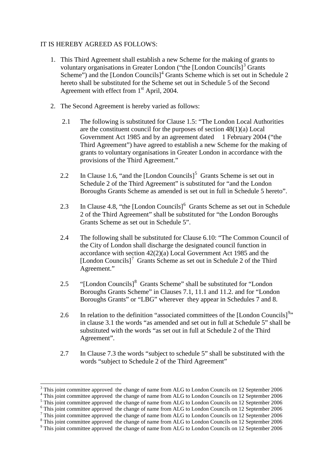#### IT IS HEREBY AGREED AS FOLLOWS:

- 1. This Third Agreement shall establish a new Scheme for the making of grants to voluntary organisations in Greater London ("the [London Councils] $3$  Grants Scheme") and the  $[London \, Councils]$ <sup>[4](#page-3-1)</sup> Grants Scheme which is set out in Schedule 2 hereto shall be substituted for the Scheme set out in Schedule 5 of the Second Agreement with effect from  $1<sup>st</sup>$  April, 2004.
- 2. The Second Agreement is hereby varied as follows:
	- 2.1 The following is substituted for Clause 1.5: "The London Local Authorities are the constituent council for the purposes of section 48(1)(a) Local Government Act 1985 and by an agreement dated 1 February 2004 ("the Third Agreement") have agreed to establish a new Scheme for the making of grants to voluntary organisations in Greater London in accordance with the provisions of the Third Agreement."
	- 2.2 In Clause 1.6, "and the [London Councils]<sup>[5](#page-3-2)</sup> Grants Scheme is set out in Schedule 2 of the Third Agreement" is substituted for "and the London Boroughs Grants Scheme as amended is set out in full in Schedule 5 hereto".
	- 2.3 In Clause 4.8, "the [London Councils]<sup>[6](#page-3-3)</sup> Grants Scheme as set out in Schedule 2 of the Third Agreement" shall be substituted for "the London Boroughs Grants Scheme as set out in Schedule 5".
	- 2.4 The following shall be substituted for Clause 6.10: "The Common Council of the City of London shall discharge the designated council function in accordance with section 42(2)(a) Local Government Act 1985 and the [London Councils]<sup>[7](#page-3-4)</sup> Grants Scheme as set out in Schedule 2 of the Third Agreement."
	- 2.5 "[London Councils]<sup>[8](#page-3-5)</sup> Grants Scheme" shall be substituted for "London" Boroughs Grants Scheme" in Clauses 7.1, 11.1 and 11.2. and for "London Boroughs Grants" or "LBG" wherever they appear in Schedules 7 and 8.
	- 2.6 In relation to the definition "associated committees of the [London Councils] $^{9n}$  $^{9n}$  $^{9n}$ in clause 3.1 the words "as amended and set out in full at Schedule 5" shall be substituted with the words "as set out in full at Schedule 2 of the Third Agreement".
	- 2.7 In Clause 7.3 the words "subject to schedule 5" shall be substituted with the words "subject to Schedule 2 of the Third Agreement"

-

<span id="page-3-1"></span>

<span id="page-3-3"></span><span id="page-3-2"></span>

<span id="page-3-0"></span><sup>&</sup>lt;sup>3</sup> This joint committee approved the change of name from ALG to London Councils on 12 September 2006<br><sup>4</sup> This joint committee approved the change of name from ALG to London Councils on 12 September 2006<br><sup>5</sup> This joint co

<span id="page-3-4"></span>

<span id="page-3-5"></span>

<span id="page-3-6"></span>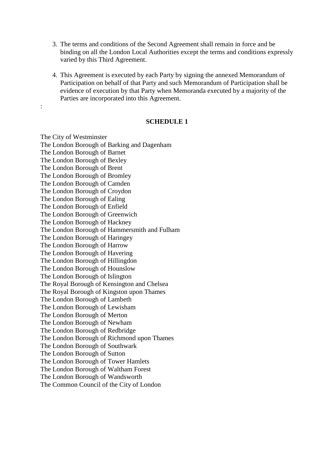- 3. The terms and conditions of the Second Agreement shall remain in force and be binding on all the London Local Authorities except the terms and conditions expressly varied by this Third Agreement.
- 4. This Agreement is executed by each Party by signing the annexed Memorandum of Participation on behalf of that Party and such Memorandum of Participation shall be evidence of execution by that Party when Memoranda executed by a majority of the Parties are incorporated into this Agreement.

#### **SCHEDULE 1**

The City of Westminster The London Borough of Barking and Dagenham The London Borough of Barnet The London Borough of Bexley The London Borough of Brent The London Borough of Bromley The London Borough of Camden The London Borough of Croydon The London Borough of Ealing The London Borough of Enfield The London Borough of Greenwich The London Borough of Hackney The London Borough of Hammersmith and Fulham The London Borough of Haringey The London Borough of Harrow The London Borough of Havering The London Borough of Hillingdon The London Borough of Hounslow The London Borough of Islington The Royal Borough of Kensington and Chelsea The Royal Borough of Kingston upon Thames The London Borough of Lambeth The London Borough of Lewisham The London Borough of Merton The London Borough of Newham The London Borough of Redbridge The London Borough of Richmond upon Thames The London Borough of Southwark The London Borough of Sutton The London Borough of Tower Hamlets The London Borough of Waltham Forest The London Borough of Wandsworth The Common Council of the City of London

: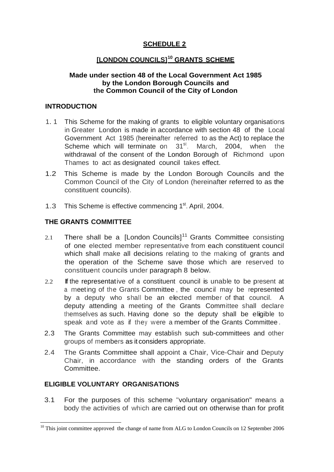## **SCHEDULE 2**

# **[LONDON COUNCILS][10](#page-5-0) GRANTS SCHEME**

### **Made under section 48 of the Local Government Act 1985 by the London Borough Councils and the Common Council of the City of London**

#### **INTRODUCTION**

- 1. 1 This Scheme for the making of grants to eligible voluntary organisations in Greater London is made in accordance with section 48 of the Local Government Act 1985 (hereinafter referred to as the Act) to replace the Scheme which will terminate on 31<sup>st</sup>. March, 2004, when the withdrawal of the consent of the London Borough of Richmond upon Thames to act as designated council takes effect.
- 1.2 This Scheme is made by the London Borough Councils and the Common Council of the City of London (hereinafter referred to as the constituent councils).
- 1.3 This Scheme is effective commencing 1<sup>st</sup>. April, 2004.

## **THE GRANTS COMMITTEE**

- 2.1 There shall be a ILondon Councils<sup>[11](#page-5-1)</sup> Grants Committee consisting of one elected member representative from each constituent council which shall make all decisions relating to the making of grants and the operation of the Scheme save those which are reserved to constituent councils under paragraph 8 below.
- 2.2 If the representative of a constituent council is unable to be present at <sup>a</sup> meeting of the Grants Committee , the council may be represented by <sup>a</sup> deputy who shall be an elected member of that council. A deputy attending a meeting of the Grants Committee shall declare themselves as such. Having done so the deputy shall be eligible to speak and vote as if they were a member of the Grants Committee .
- 2.3 The Grants Committee may establish such sub-committees and other groups of members as it considers appropriate.
- 2.4 The Grants Committee shall appoint a Chair, Vice-Chair and Deputy Chair, in accordance with the standing orders of the Grants **Committee**

### <span id="page-5-1"></span>**ELIGIBLE VOLUNTARY ORGANISATIONS**

-

3.1 For the purposes of this scheme "voluntary organisation" means a body the activities of which are carried out on otherwise than for profit

<span id="page-5-0"></span> $10$  This joint committee approved the change of name from ALG to London Councils on 12 September 2006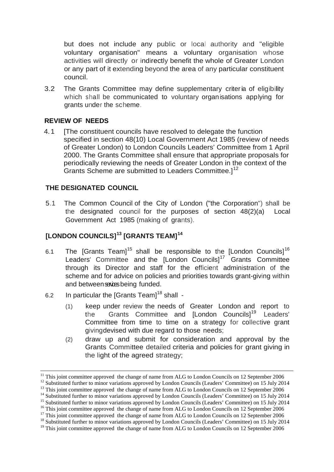but does not include any public or local authority and "eligible voluntary organisation" means a voluntary organisation whose activities will directly or indirectly benefit the whole of Greater London or any part of it extending beyond the area of any particular constituent council.

3.2 The Grants Committee may define supplementary criteria of eligibility which shall be communicated to voluntary organisations applying for grants under the scheme.

### **REVIEW OF NEEDS**

4.1 [The constituent councils have resolved to delegate the function specified in section 48(10) Local Government Act 1985 (review of needs of Greater London) to London Councils Leaders' Committee from 1 April 2000. The Grants Committee shall ensure that appropriate proposals for periodically reviewing the needs of Greater London in the context of the Grants Scheme are submitted to Leaders Committee.]<sup>[12](#page-6-0)</sup>

### **THE DESIGNATED COUNCIL**

5.1 The Common Council of the City of London ("the Corporation") shall be the designated council for the purposes of section 48(2)(a) Local Government Act 1985 (making of grants).

# **[LONDON COUNCILS][13](#page-6-1) [GRANTS TEAM][14](#page-6-2)**

- 6.1 The [Grants Team]<sup>[15](#page-6-3)</sup> shall be responsible to the [London Councils]<sup>[16](#page-6-4)</sup> Leaders' Committee and the [London Councils]<sup>[17](#page-6-5)</sup> Grants Committee through its Director and staff for the efficient administration of the scheme and for advice on policies and priorities towards grant-giving within and betweensavies being funded.
- 6.2 In particular the [Grants Team] $18$  shall -
	- (1) keep under review the needs of Greater London and report to the Grants Committee and [London Councils]<sup>[19](#page-6-7)</sup> Leaders' Committee from time to time on a strategy for collective grant givingdevised with due regard to those needs;
	- (2) draw up and submit for consideration and approval by the Grants Committee detailed criteria and policies for grant giving in the light of the agreed strategy;

 $11$  This joint committee approved the change of name from ALG to London Councils on 12 September 2006

<span id="page-6-2"></span>

<span id="page-6-4"></span><span id="page-6-3"></span>

<span id="page-6-1"></span><span id="page-6-0"></span><sup>&</sup>lt;sup>12</sup> Substituted further to minor variations approved by London Councils (Leaders' Committee) on 15 July 2014<br><sup>13</sup> This joint committee approved the change of name from ALG to London Councils on 12 September 2006<br><sup>14</sup> Sub

<span id="page-6-5"></span>

<span id="page-6-6"></span>

<span id="page-6-7"></span><sup>&</sup>lt;sup>19</sup> This joint committee approved the change of name from ALG to London Councils on 12 September 2006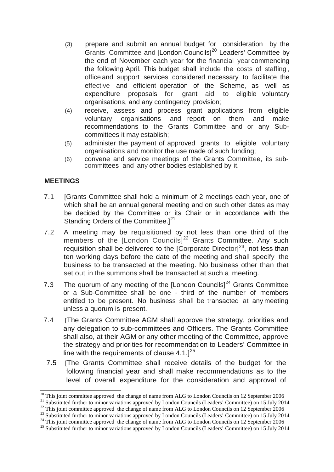- (3) prepare and submit an annual budget for consideration by the Grants Committee and [London Councils]<sup>[20](#page-7-0)</sup> Leaders' Committee by the end of November each year for the financial yearcommencing the following April. This budget shall include the costs of staffing , office and support services considered necessary to facilitate the effective and efficient operation of the Scheme, as well as expenditure proposals for grant aid to eligible voluntary organisations, and any contingency provision;
- (4) receive, assess and process grant applications from eligible voluntary organisations and report on them and make recommendations to the Grants Committee and or any Subcommittees it may establish;
- (5) administer the payment of approved grants to eligible voluntary organisations and monitor the use made of such funding;
- (6) convene and service meetings of the Grants Committee, its sub- committees and any other bodies established by it.

### **MEETINGS**

- 7.1 [Grants Committee shall hold a minimum of 2 meetings each year, one of which shall be an annual general meeting and on such other dates as may be decided by the Committee or its Chair or in accordance with the Standing Orders of the Committee.]<sup>[21](#page-7-1)</sup>
- 7.2 A meeting may be requisitioned by not less than one third of the members of the [London Councils]<sup>[22](#page-7-2)</sup> Grants Committee. Any such requisition shall be delivered to the  $[Corporate Director]^{23}$ , not less than ten working days before the date of the meeting and shall specify the business to be transacted at the meeting. No business other than that set out in the summons shall be transacted at such a meeting.
- 7.3 The quorum of any meeting of the [London Councils] $^{24}$  $^{24}$  $^{24}$  Grants Committee or a Sub-Committee shall be one - third of the number of members entitled to be present. No business shall be transacted at any meeting unless a quorum is present.
- 7.4 [The Grants Committee AGM shall approve the strategy, priorities and any delegation to sub-committees and Officers. The Grants Committee shall also, at their AGM or any other meeting of the Committee, approve the strategy and priorities for recommendation to Leaders' Committee in line with the requirements of clause 4.1.] $^{25}$  $^{25}$  $^{25}$
- 7.5 [The Grants Committee shall receive details of the budget for the following financial year and shall make recommendations as to the level of overall expenditure for the consideration and approval of

<span id="page-7-0"></span> $20$  This joint committee approved the change of name from ALG to London Councils on 12 September 2006

<span id="page-7-2"></span><span id="page-7-1"></span><sup>&</sup>lt;sup>21</sup> Substituted further to minor variations approved by London Councils (Leaders' Committee) on 15 July 2014<br><sup>22</sup> This joint committee approved the change of name from ALG to London Councils on 12 September 2006<br><sup>23</sup> Sub

<span id="page-7-3"></span>

<span id="page-7-5"></span><span id="page-7-4"></span>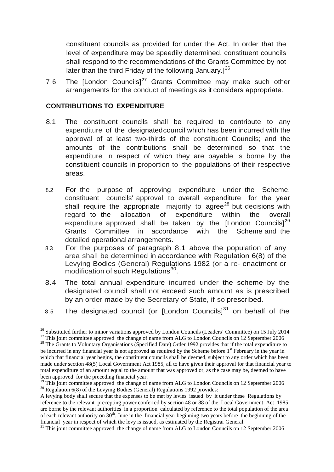constituent councils as provided for under the Act. In order that the level of expenditure may be speedily determined, constituent councils shall respond to the recommendations of the Grants Committee by not later than the third Friday of the following January.] $^{26}$  $^{26}$  $^{26}$ 

7.6 The [London Councils] $27$  Grants Committee may make such other arrangements for the conduct of meetings as it considers appropriate.

### **CONTRIBUTIONS TO EXPENDITURE**

- 8.1 The constituent councils shall be required to contribute to any expenditure of the designatedcouncil which has been incurred with the approval of at least two-thirds of the constituent Councils; and the amounts of the contributions shall be determined so that the expenditure in respect of which they are payable is borne by the constituent councils in proportion to the populations of their respective areas.
- 8.2 For the purpose of approving expenditure under the Scheme, constituent councils' approval to overall expenditure for the year shall require the appropriate majority to agree<sup>[28](#page-8-2)</sup> but decisions with regard to the allocation of expenditure within the overall expenditure approved shall be taken by the  $[London Councils]^{29}$  $[London Councils]^{29}$  $[London Councils]^{29}$ Grants Committee in accordance with the Scheme and the detailed operational arrangements.
- 8.3 For the purposes of paragraph 8.1 above the population of any area shall be determined in accordance with Regulation 6(8) of the Levying Bodies (General) Regulations 1982 (or a re- enactment or modification of such Regulations<sup>[30](#page-8-4)</sup>.
- 8.4 The total annual expenditure incurred under the scheme by the designated council shall not exceed such amount as is prescribed by an order made by the Secretary of State, if so prescribed.
- 8.5 The designated council (or  $[$ London Councils $]^{31}$  $]^{31}$  $]^{31}$  on behalf of the

<span id="page-8-0"></span><sup>&</sup>lt;sup>26</sup> Substituted further to minor variations approved by London Councils (Leaders' Committee) on 15 July 2014

<span id="page-8-1"></span><sup>&</sup>lt;sup>27</sup> This joint committee approved the change of name from ALG to London Councils on 12 September 2006<br><sup>28</sup> The Grants to Voluntary Organisations (Specified Date) Order 1992 provides that if the total expenditure to

<span id="page-8-2"></span>be incurred in any financial year is not approved as required by the Scheme before 1<sup>st</sup> February in the year in which that financial year begins, the constituent councils shall be deemed, subject to any order which has been made under section 48(5) Local Government Act 1985, all to have given their approval for that financial year to total expenditure of an amount equal to the amount that was approved or, as the case may be, deemed to have been approved for the preceding financial year.

<span id="page-8-3"></span><sup>&</sup>lt;sup>29</sup> This joint committee approved the change of name from ALG to London Councils on 12 September 2006  $\frac{30}{10}$  Regulation 6(8) of the Levying Bodies (General) Regulations 1992 provides:

<span id="page-8-4"></span>A levying body shall secure that the expenses to be met by levies issued by it under these Regulations by reference to the relevant precepting power conferred by section 48 or 88 of the Local Government Act 1985 are borne by the relevant authorities in a proportion calculated by reference to the total population of the area of each relevant authority on  $30<sup>th</sup>$ . June in the financial year beginning two years before the beginning of the financial year in respect of which the levy is issued, as estimated by the Registrar General.

<span id="page-8-5"></span> $\frac{31}{10}$  This joint committee approved, the change of name from ALG to London Councils on 12 September 2006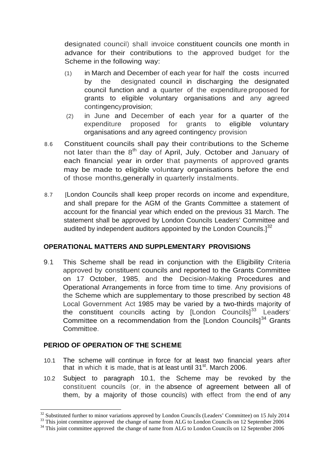designated council) shall invoice constituent councils one month in advance for their contributions to the approved budget for the Scheme in the following way:

- (1) in March and December of each year for half the costs incurred by the designated council in discharging the designated council function and a quarter of the expenditure proposed for grants to eligible voluntary organisations and any agreed contingencyprovision;
- (2) in June and December of each year for a quarter of the expenditure proposed for grants to eligible voluntary organisations and any agreed contingency provision
- 8.6 Constituent councils shall pay their contributions to the Scheme not later than the  $8<sup>th</sup>$  day of April, July, October and January of each financial year in order that payments of approved grants may be made to eligible voluntary organisations before the end of those months,generally in quarterly instalments.
- 8.7 [London Councils shall keep proper records on income and expenditure, and shall prepare for the AGM of the Grants Committee a statement of account for the financial year which ended on the previous 31 March. The statement shall be approved by London Councils Leaders' Committee and audited by independent auditors appointed by the London Councils.] $^{32}$  $^{32}$  $^{32}$

## **OPERATIONAL MATTERS AND SUPPLEMENTARY PROVISIONS**

9.1 This Scheme shall be read in conjunction with the Eligibility Criteria approved by constituent councils and reported to the Grants Committee on 17 October, 1985, and the Decision-Making Procedures and Operational Arrangements in force from time to time. Any provisions of the Scheme which are supplementary to those prescribed by section 48 Local Government Act 1985 may be varied by a two-thirds majority of the constituent councils acting by [London Councils]<sup>[33](#page-9-1)</sup> Leaders' Committee on a recommendation from the [London Councils]<sup>[34](#page-9-2)</sup> Grants Committee.

## **PERIOD OF OPERATION OF THE SCHEME**

- 10.1 The scheme will continue in force for at least two financial years after that in which it is made, that is at least until  $31<sup>st</sup>$ . March 2006.
- 10.2 Subject to paragraph 10.1, the Scheme may be revoked by the constituent councils (or, in the absence of agreement between all of them, by a majority of those councils) with effect from the end of any

 $32$  Substituted further to minor variations approved by London Councils (Leaders' Committee) on 15 July 2014

<span id="page-9-2"></span><span id="page-9-1"></span><span id="page-9-0"></span> $^{33}$  This joint committee approved the change of name from ALG to London Councils on 12 September 2006<br><sup>34</sup> This joint committee approved the change of name from ALG to London Councils on 12 September 2006